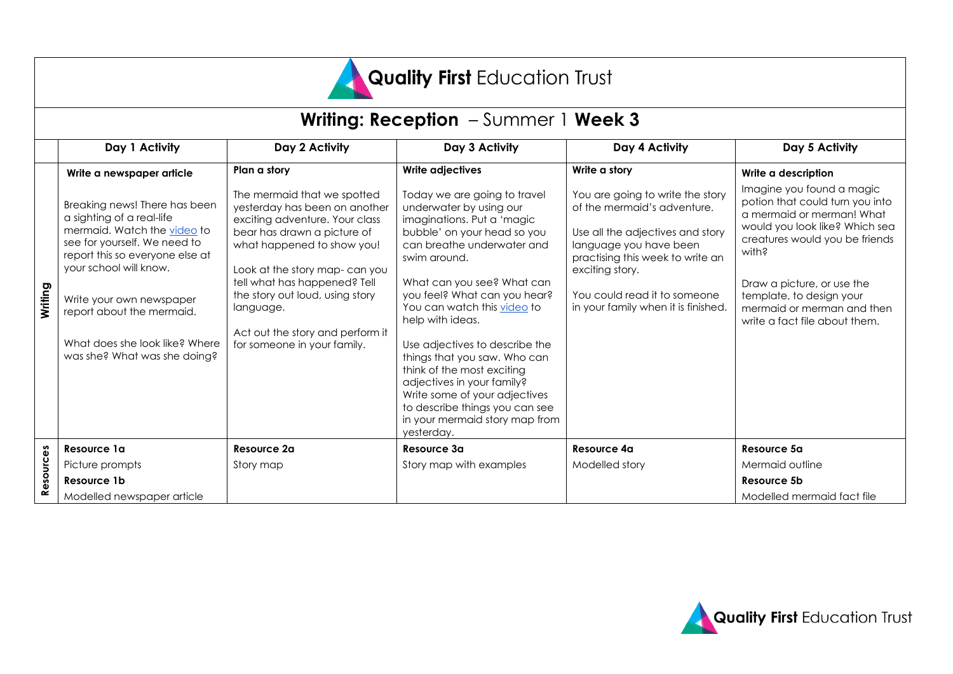

# **Writing: Reception** – Summer 1 **Week 3**

|           | Day 1 Activity                                                                                                                                                                                                                                                                                                    | Day 2 Activity                                                                                                                                                                                                                                                                                                                                  | Day 3 Activity                                                                                                                                                                                                                                                                                                                                                                                                                                                                                                                       | Day 4 Activity                                                                                                                                                                                                                                              | Day 5 Activity                                                                                                                                                                                                                                                                                  |
|-----------|-------------------------------------------------------------------------------------------------------------------------------------------------------------------------------------------------------------------------------------------------------------------------------------------------------------------|-------------------------------------------------------------------------------------------------------------------------------------------------------------------------------------------------------------------------------------------------------------------------------------------------------------------------------------------------|--------------------------------------------------------------------------------------------------------------------------------------------------------------------------------------------------------------------------------------------------------------------------------------------------------------------------------------------------------------------------------------------------------------------------------------------------------------------------------------------------------------------------------------|-------------------------------------------------------------------------------------------------------------------------------------------------------------------------------------------------------------------------------------------------------------|-------------------------------------------------------------------------------------------------------------------------------------------------------------------------------------------------------------------------------------------------------------------------------------------------|
|           | Write a newspaper article                                                                                                                                                                                                                                                                                         | Plan a story                                                                                                                                                                                                                                                                                                                                    | <b>Write adjectives</b>                                                                                                                                                                                                                                                                                                                                                                                                                                                                                                              | Write a story                                                                                                                                                                                                                                               | Write a description                                                                                                                                                                                                                                                                             |
| Writing   | Breaking news! There has been<br>a sighting of a real-life<br>mermaid. Watch the video to<br>see for yourself. We need to<br>report this so everyone else at<br>your school will know.<br>Write your own newspaper<br>report about the mermaid.<br>What does she look like? Where<br>was she? What was she doing? | The mermaid that we spotted<br>yesterday has been on another<br>exciting adventure. Your class<br>bear has drawn a picture of<br>what happened to show you!<br>Look at the story map-can you<br>tell what has happened? Tell<br>the story out loud, using story<br>language.<br>Act out the story and perform it<br>for someone in your family. | Today we are going to travel<br>underwater by using our<br>imaginations. Put a 'magic<br>bubble' on your head so you<br>can breathe underwater and<br>swim around.<br>What can you see? What can<br>you feel? What can you hear?<br>You can watch this video to<br>help with ideas.<br>Use adjectives to describe the<br>things that you saw. Who can<br>think of the most exciting<br>adjectives in your family?<br>Write some of your adjectives<br>to describe things you can see<br>in your mermaid story map from<br>yesterday. | You are going to write the story<br>of the mermaid's adventure.<br>Use all the adjectives and story<br>language you have been<br>practising this week to write an<br>exciting story.<br>You could read it to someone<br>in your family when it is finished. | Imagine you found a magic<br>potion that could turn you into<br>a mermaid or merman! What<br>would you look like? Which sea<br>creatures would you be friends<br>with?<br>Draw a picture, or use the<br>template, to design your<br>mermaid or merman and then<br>write a fact file about them. |
| Resources | Resource 1a                                                                                                                                                                                                                                                                                                       | Resource 2a                                                                                                                                                                                                                                                                                                                                     | Resource 3a                                                                                                                                                                                                                                                                                                                                                                                                                                                                                                                          | <b>Resource 4a</b>                                                                                                                                                                                                                                          | Resource 5a                                                                                                                                                                                                                                                                                     |
|           | Picture prompts                                                                                                                                                                                                                                                                                                   | Story map                                                                                                                                                                                                                                                                                                                                       | Story map with examples                                                                                                                                                                                                                                                                                                                                                                                                                                                                                                              | Modelled story                                                                                                                                                                                                                                              | Mermaid outline                                                                                                                                                                                                                                                                                 |
|           | Resource 1b                                                                                                                                                                                                                                                                                                       |                                                                                                                                                                                                                                                                                                                                                 |                                                                                                                                                                                                                                                                                                                                                                                                                                                                                                                                      |                                                                                                                                                                                                                                                             | Resource 5b                                                                                                                                                                                                                                                                                     |
|           | Modelled newspaper article                                                                                                                                                                                                                                                                                        |                                                                                                                                                                                                                                                                                                                                                 |                                                                                                                                                                                                                                                                                                                                                                                                                                                                                                                                      |                                                                                                                                                                                                                                                             | Modelled mermaid fact file                                                                                                                                                                                                                                                                      |

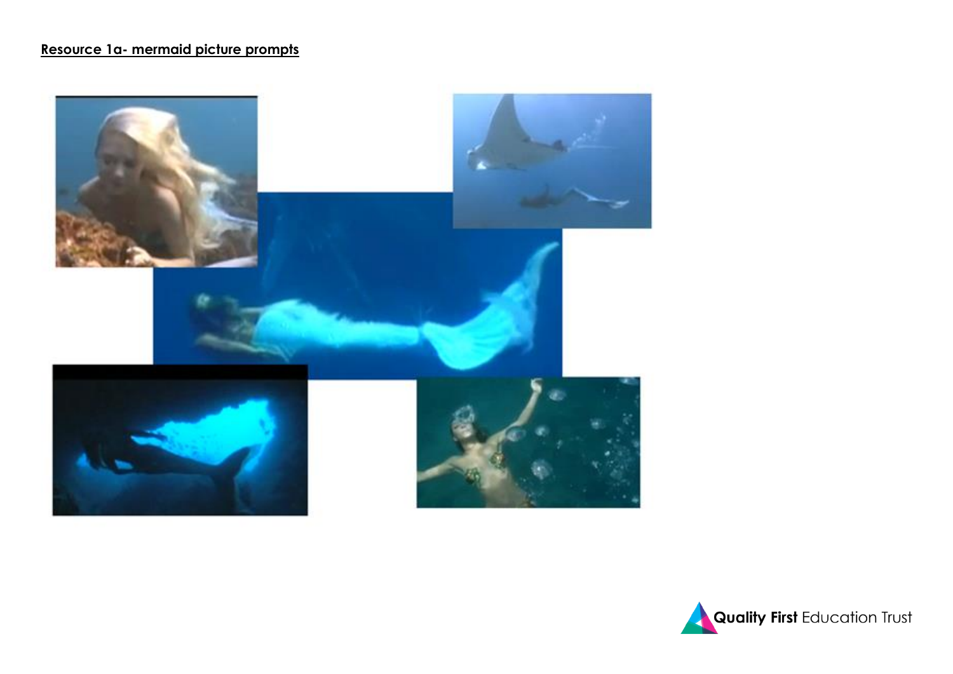## **Resource 1a- mermaid picture prompts**



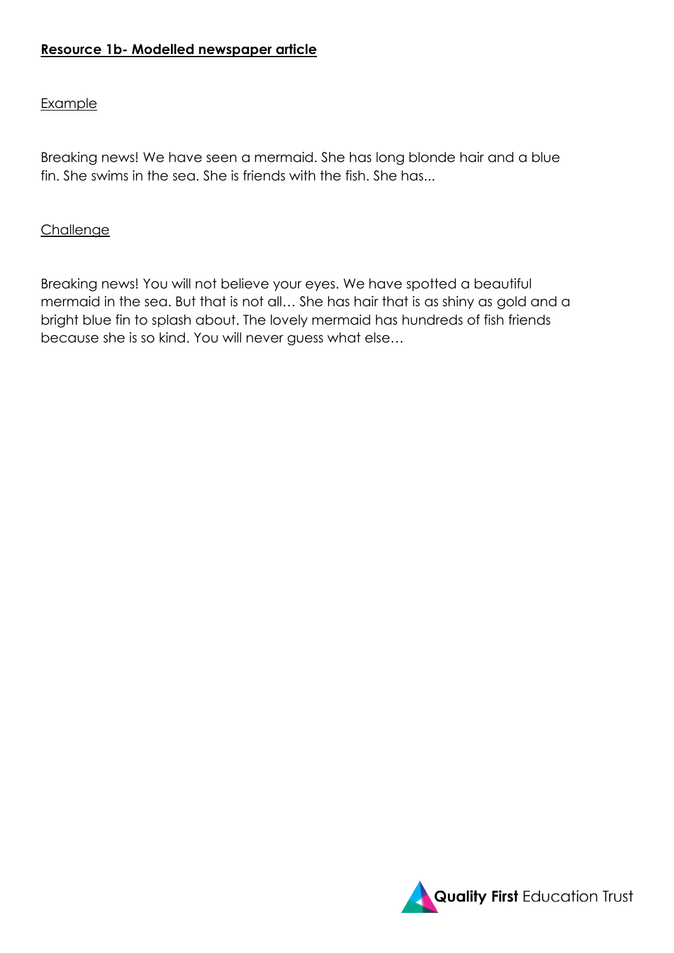## **Resource 1b- Modelled newspaper article**

#### **Example**

Breaking news! We have seen a mermaid. She has long blonde hair and a blue fin. She swims in the sea. She is friends with the fish. She has...

#### **Challenge**

Breaking news! You will not believe your eyes. We have spotted a beautiful mermaid in the sea. But that is not all… She has hair that is as shiny as gold and a bright blue fin to splash about. The lovely mermaid has hundreds of fish friends because she is so kind. You will never guess what else…

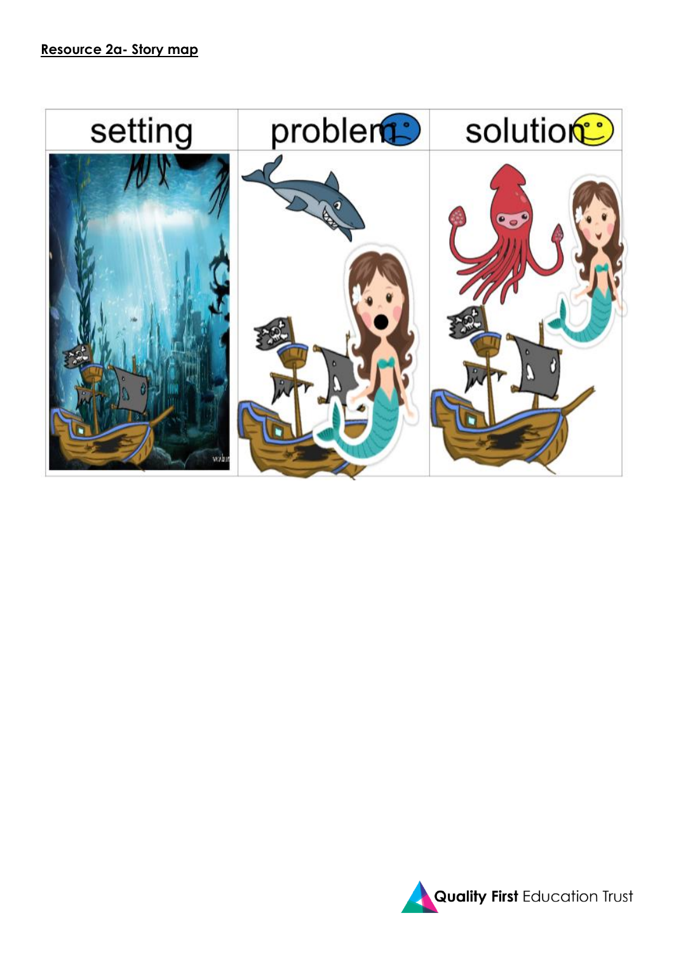

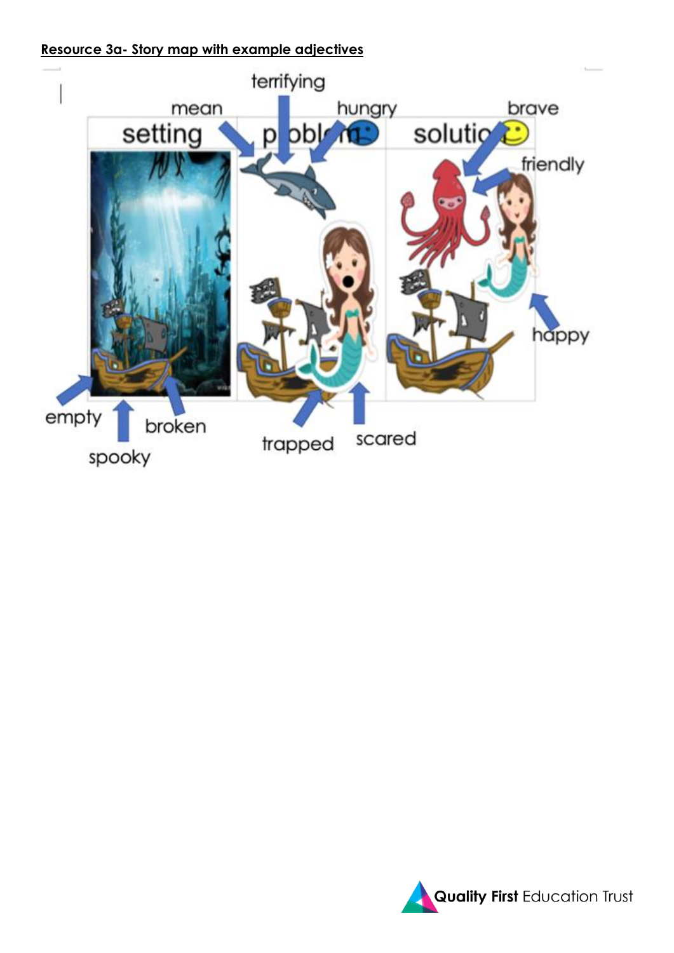## **Resource 3a- Story map with example adjectives**



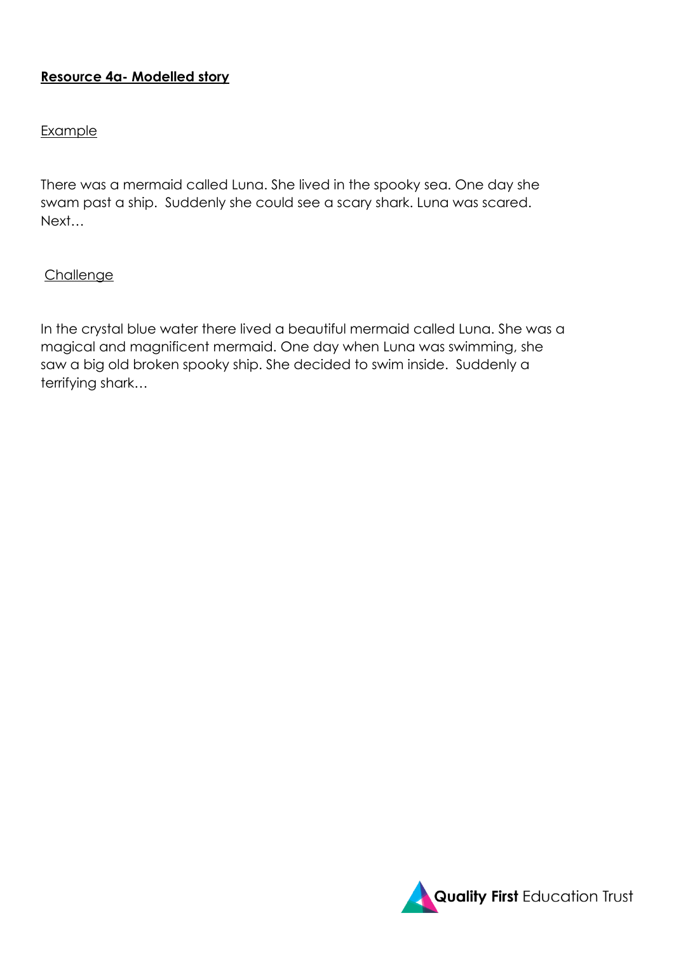## **Resource 4a- Modelled story**

#### Example

There was a mermaid called Luna. She lived in the spooky sea. One day she swam past a ship. Suddenly she could see a scary shark. Luna was scared. Next…

### **Challenge**

In the crystal blue water there lived a beautiful mermaid called Luna. She was a magical and magnificent mermaid. One day when Luna was swimming, she saw a big old broken spooky ship. She decided to swim inside. Suddenly a terrifying shark…

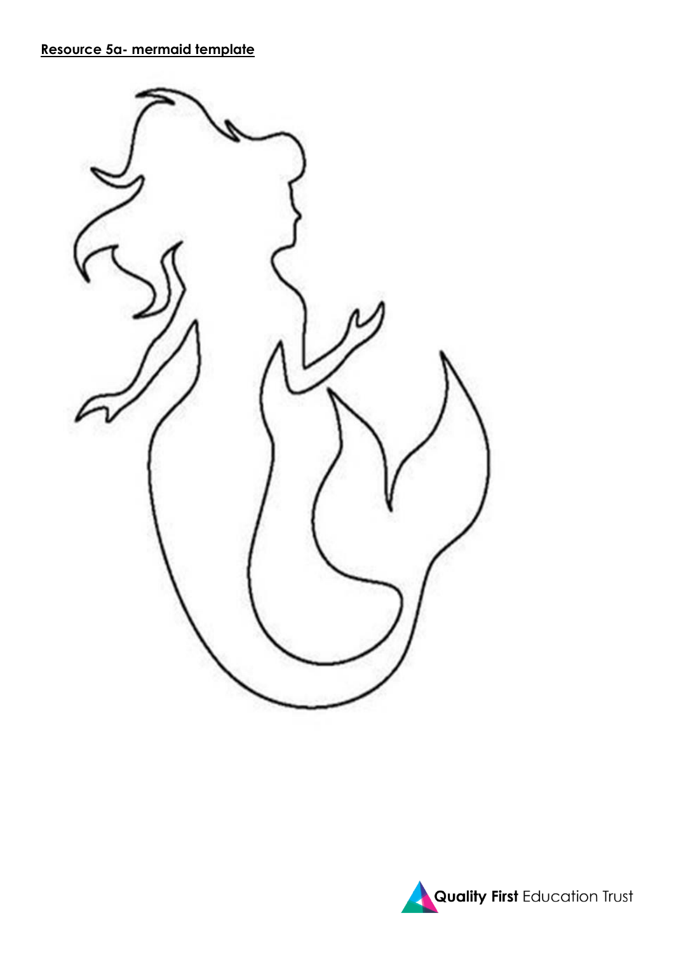## **Resource 5a- mermaid template**